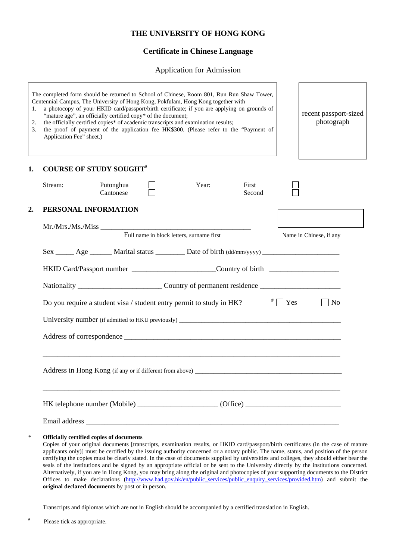## **THE UNIVERSITY OF HONG KONG**

# **Certificate in Chinese Language**

Application for Admission

| 1.<br>2.<br>3. | The completed form should be returned to School of Chinese, Room 801, Run Run Shaw Tower,<br>Centennial Campus, The University of Hong Kong, Pokfulam, Hong Kong together with<br>a photocopy of your HKID card/passport/birth certificate; if you are applying on grounds of<br>"mature age", an officially certified copy* of the document;<br>the officially certified copies* of academic transcripts and examination results;<br>the proof of payment of the application fee HK\$300. (Please refer to the "Payment of<br>Application Fee" sheet.) | recent passport-sized<br>photograph |
|----------------|---------------------------------------------------------------------------------------------------------------------------------------------------------------------------------------------------------------------------------------------------------------------------------------------------------------------------------------------------------------------------------------------------------------------------------------------------------------------------------------------------------------------------------------------------------|-------------------------------------|
| 1.             | <b>COURSE OF STUDY SOUGHT#</b>                                                                                                                                                                                                                                                                                                                                                                                                                                                                                                                          |                                     |
|                | Stream:<br>Putonghua<br>Year:<br>First<br>Cantonese<br>Second                                                                                                                                                                                                                                                                                                                                                                                                                                                                                           |                                     |
| 2.             | PERSONAL INFORMATION                                                                                                                                                                                                                                                                                                                                                                                                                                                                                                                                    |                                     |
|                | Full name in block letters, surname first                                                                                                                                                                                                                                                                                                                                                                                                                                                                                                               | Name in Chinese, if any             |
|                | Sex ______ Age _______ Marital status _________ Date of birth (dd/mm/yyyy) ________________________                                                                                                                                                                                                                                                                                                                                                                                                                                                     |                                     |
|                | HKID Card/Passport number _________________________Country of birth ________________________________                                                                                                                                                                                                                                                                                                                                                                                                                                                    |                                     |
|                | Nationality __________________________________Country of permanent residence _________________________________                                                                                                                                                                                                                                                                                                                                                                                                                                          |                                     |
|                | $\overline{z}$ $\overline{z}$ $\overline{z}$ $\overline{z}$ $\overline{z}$ $\overline{z}$ $\overline{z}$ $\overline{z}$ $\overline{z}$ $\overline{z}$ $\overline{z}$ $\overline{z}$ $\overline{z}$ $\overline{z}$ $\overline{z}$ $\overline{z}$ $\overline{z}$ $\overline{z}$ $\overline{z}$ $\overline{z}$ $\overline{z}$ $\overline{z}$ $\overline{z}$ $\overline{z}$ $\overline{$<br>Do you require a student visa / student entry permit to study in HK?                                                                                            | $\vert$ No                          |
|                |                                                                                                                                                                                                                                                                                                                                                                                                                                                                                                                                                         |                                     |
|                |                                                                                                                                                                                                                                                                                                                                                                                                                                                                                                                                                         |                                     |
|                |                                                                                                                                                                                                                                                                                                                                                                                                                                                                                                                                                         |                                     |
|                |                                                                                                                                                                                                                                                                                                                                                                                                                                                                                                                                                         |                                     |
|                |                                                                                                                                                                                                                                                                                                                                                                                                                                                                                                                                                         |                                     |

\* **Officially certified copies of documents**

Copies of your original documents [transcripts, examination results, or HKID card/passport/birth certificates (in the case of mature applicants only)] must be certified by the issuing authority concerned or a notary public. The name, status, and position of the person certifying the copies must be clearly stated. In the case of documents supplied by universities and colleges, they should either bear the seals of the institutions and be signed by an appropriate official or be sent to the University directly by the institutions concerned. Alternatively, if you are in Hong Kong, you may bring along the original and photocopies of your supporting documents to the District Offices to make declarations (http://www.had.gov.hk/en/public\_services/public\_enquiry\_services/provided.htm) and submit the **original declared documents** by post or in person.

Transcripts and diplomas which are not in English should be accompanied by a certified translation in English.

# Please tick as appropriate.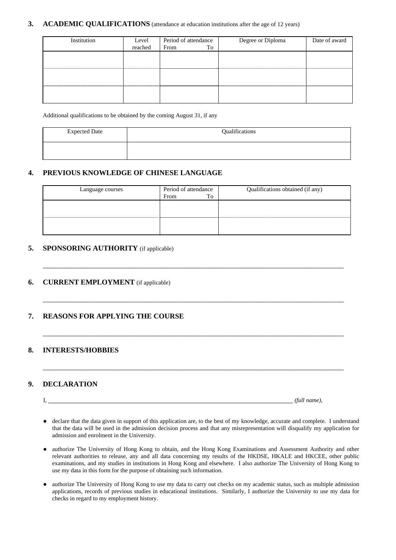#### **3.** ACADEMIC QUALIFICATIONS (attendance at education institutions after the age of 12 years)

| Institution | Level   | Period of attendance | Degree or Diploma | Date of award |  |
|-------------|---------|----------------------|-------------------|---------------|--|
|             | reached | To<br>From           |                   |               |  |
|             |         |                      |                   |               |  |
|             |         |                      |                   |               |  |
|             |         |                      |                   |               |  |
|             |         |                      |                   |               |  |
|             |         |                      |                   |               |  |
|             |         |                      |                   |               |  |
|             |         |                      |                   |               |  |
|             |         |                      |                   |               |  |

Additional qualifications to be obtained by the coming August 31, if any

| <b>Expected Date</b> | Qualifications |
|----------------------|----------------|
|                      |                |

#### **4. PREVIOUS KNOWLEDGE OF CHINESE LANGUAGE**

| Language courses | Period of attendance |    | Qualifications obtained (if any) |
|------------------|----------------------|----|----------------------------------|
|                  | From                 | To |                                  |
|                  |                      |    |                                  |
|                  |                      |    |                                  |
|                  |                      |    |                                  |
|                  |                      |    |                                  |
|                  |                      |    |                                  |

\_\_\_\_\_\_\_\_\_\_\_\_\_\_\_\_\_\_\_\_\_\_\_\_\_\_\_\_\_\_\_\_\_\_\_\_\_\_\_\_\_\_\_\_\_\_\_\_\_\_\_\_\_\_\_\_\_\_\_\_\_\_\_\_\_\_\_\_\_\_\_\_\_\_\_\_\_\_\_\_\_\_

\_\_\_\_\_\_\_\_\_\_\_\_\_\_\_\_\_\_\_\_\_\_\_\_\_\_\_\_\_\_\_\_\_\_\_\_\_\_\_\_\_\_\_\_\_\_\_\_\_\_\_\_\_\_\_\_\_\_\_\_\_\_\_\_\_\_\_\_\_\_\_\_\_\_\_\_\_\_\_\_\_\_

\_\_\_\_\_\_\_\_\_\_\_\_\_\_\_\_\_\_\_\_\_\_\_\_\_\_\_\_\_\_\_\_\_\_\_\_\_\_\_\_\_\_\_\_\_\_\_\_\_\_\_\_\_\_\_\_\_\_\_\_\_\_\_\_\_\_\_\_\_\_\_\_\_\_\_\_\_\_\_\_\_\_

\_\_\_\_\_\_\_\_\_\_\_\_\_\_\_\_\_\_\_\_\_\_\_\_\_\_\_\_\_\_\_\_\_\_\_\_\_\_\_\_\_\_\_\_\_\_\_\_\_\_\_\_\_\_\_\_\_\_\_\_\_\_\_\_\_\_\_\_\_\_\_\_\_\_\_\_\_\_\_\_\_\_

#### **5. SPONSORING AUTHORITY** (if applicable)

#### **6. CURRENT EMPLOYMENT** (if applicable)

## **7. REASONS FOR APPLYING THE COURSE**

#### **8. INTERESTS/HOBBIES**

#### **9. DECLARATION**

I, *(full name)*,

- declare that the data given in support of this application are, to the best of my knowledge, accurate and complete. I understand that the data will be used in the admission decision process and that any misrepresentation will disqualify my application for admission and enrolment in the University.
- authorize The University of Hong Kong to obtain, and the Hong Kong Examinations and Assessment Authority and other relevant authorities to release, any and all data concerning my results of the HKDSE, HKALE and HKCEE, other public examinations, and my studies in institutions in Hong Kong and elsewhere. I also authorize The University of Hong Kong to use my data in this form for the purpose of obtaining such information.
- authorize The University of Hong Kong to use my data to carry out checks on my academic status, such as multiple admission applications, records of previous studies in educational institutions. Similarly, I authorize the University to use my data for checks in regard to my employment history.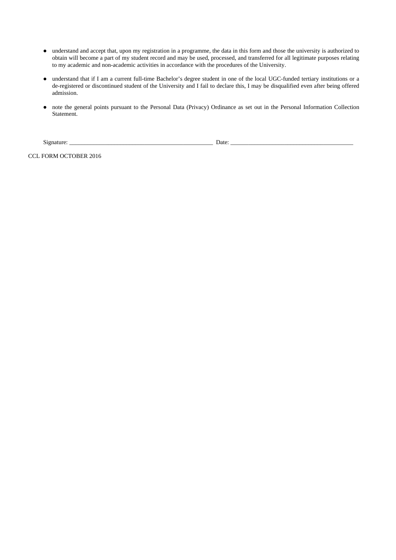- understand and accept that, upon my registration in a programme, the data in this form and those the university is authorized to obtain will become a part of my student record and may be used, processed, and transferred for all legitimate purposes relating to my academic and non-academic activities in accordance with the procedures of the University.
- understand that if I am a current full-time Bachelor's degree student in one of the local UGC-funded tertiary institutions or a de-registered or discontinued student of the University and I fail to declare this, I may be disqualified even after being offered admission.
- note the general points pursuant to the Personal Data (Privacy) Ordinance as set out in the Personal Information Collection Statement.

Signature: \_\_\_\_\_\_\_\_\_\_\_\_\_\_\_\_\_\_\_\_\_\_\_\_\_\_\_\_\_\_\_\_\_\_\_\_\_\_\_\_\_\_\_\_\_\_\_\_ Date: \_\_\_\_\_\_\_\_\_\_\_\_\_\_\_\_\_\_\_\_\_\_\_\_\_\_\_\_\_\_\_\_\_\_\_\_\_\_\_\_\_

CCL FORM OCTOBER 2016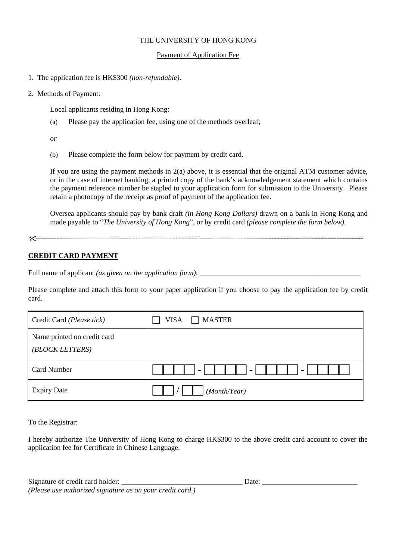### THE UNIVERSITY OF HONG KONG

#### Payment of Application Fee

- 1. The application fee is HK\$300 *(non-refundable)*.
- 2. Methods of Payment:

Local applicants residing in Hong Kong:

(a) Please pay the application fee, using one of the methods overleaf;

*or* 

(b) Please complete the form below for payment by credit card.

If you are using the payment methods in 2(a) above, it is essential that the original ATM customer advice, or in the case of internet banking, a printed copy of the bank's acknowledgement statement which contains the payment reference number be stapled to your application form for submission to the University. Please retain a photocopy of the receipt as proof of payment of the application fee.

Oversea applicants should pay by bank draft *(in Hong Kong Dollars)* drawn on a bank in Hong Kong and made payable to "*The University of Hong Kong*", or by credit card *(please complete the form below)*.

#### **CREDIT CARD PAYMENT**

Full name of applicant *(as given on the application form)*: \_\_\_\_\_\_\_\_\_\_\_\_\_\_\_\_\_\_\_\_\_\_\_\_\_\_\_\_\_\_\_\_\_\_\_\_\_\_\_\_\_\_\_\_

Please complete and attach this form to your paper application if you choose to pay the application fee by credit card.

| Credit Card (Please tick)                      | <b>MASTER</b><br><b>VISA</b><br>$\blacksquare$ |
|------------------------------------------------|------------------------------------------------|
| Name printed on credit card<br>(BLOCK LETTERS) |                                                |
| <b>Card Number</b>                             | $\overline{\phantom{0}}$<br>-                  |
| <b>Expiry Date</b>                             | (Month/Year)                                   |

To the Registrar:

I hereby authorize The University of Hong Kong to charge HK\$300 to the above credit card account to cover the application fee for Certificate in Chinese Language.

| Signature of credit card holder:                          | Date <sup>.</sup> |
|-----------------------------------------------------------|-------------------|
| (Please use authorized signature as on your credit card.) |                   |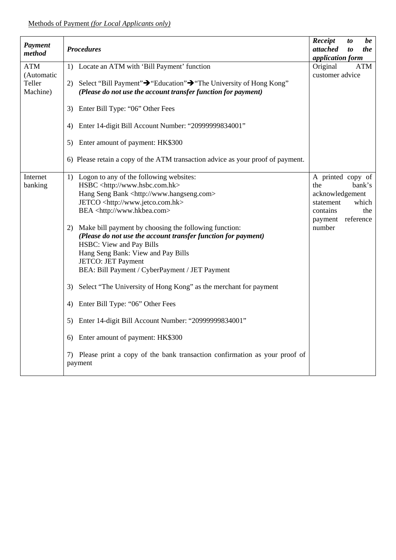| Payment<br>method                              | <b>Procedures</b>                                                                                                                                                                                                                                                                                                                                                                                                                                                                                                                                                                                                                                                                                                                                                                                                                                 | Receipt<br>attached<br>application form                                                   | to<br>$\boldsymbol{to}$ | be<br>the                           |
|------------------------------------------------|---------------------------------------------------------------------------------------------------------------------------------------------------------------------------------------------------------------------------------------------------------------------------------------------------------------------------------------------------------------------------------------------------------------------------------------------------------------------------------------------------------------------------------------------------------------------------------------------------------------------------------------------------------------------------------------------------------------------------------------------------------------------------------------------------------------------------------------------------|-------------------------------------------------------------------------------------------|-------------------------|-------------------------------------|
| <b>ATM</b><br>(Automatic<br>Teller<br>Machine) | 1) Locate an ATM with 'Bill Payment' function<br>2) Select "Bill Payment" > "Education" > "The University of Hong Kong"<br>(Please do not use the account transfer function for payment)                                                                                                                                                                                                                                                                                                                                                                                                                                                                                                                                                                                                                                                          | Original<br>customer advice                                                               |                         | ATM                                 |
|                                                | Enter Bill Type: "06" Other Fees<br>3)<br>Enter 14-digit Bill Account Number: "20999999834001"<br>4)                                                                                                                                                                                                                                                                                                                                                                                                                                                                                                                                                                                                                                                                                                                                              |                                                                                           |                         |                                     |
|                                                | Enter amount of payment: HK\$300<br>5)<br>6) Please retain a copy of the ATM transaction advice as your proof of payment.                                                                                                                                                                                                                                                                                                                                                                                                                                                                                                                                                                                                                                                                                                                         |                                                                                           |                         |                                     |
| Internet<br>banking                            | 1) Logon to any of the following websites:<br>HSBC <http: www.hsbc.com.hk=""><br/>Hang Seng Bank <http: www.hangseng.com=""><br/>JETCO <http: www.jetco.com.hk=""><br/>BEA <http: www.hkbea.com=""><br/>2) Make bill payment by choosing the following function:<br/>(Please do not use the account transfer function for payment)<br/>HSBC: View and Pay Bills<br/>Hang Seng Bank: View and Pay Bills<br/>JETCO: JET Payment<br/>BEA: Bill Payment / CyberPayment / JET Payment<br/>Select "The University of Hong Kong" as the merchant for payment<br/>3)<br/>Enter Bill Type: "06" Other Fees<br/>4)<br/>Enter 14-digit Bill Account Number: "20999999834001"<br/>5)<br/>Enter amount of payment: HK\$300<br/>6)<br/>7) Please print a copy of the bank transaction confirmation as your proof of<br/>payment</http:></http:></http:></http:> | A printed copy of<br>the<br>acknowledgement<br>statement<br>contains<br>payment<br>number |                         | bank's<br>which<br>the<br>reference |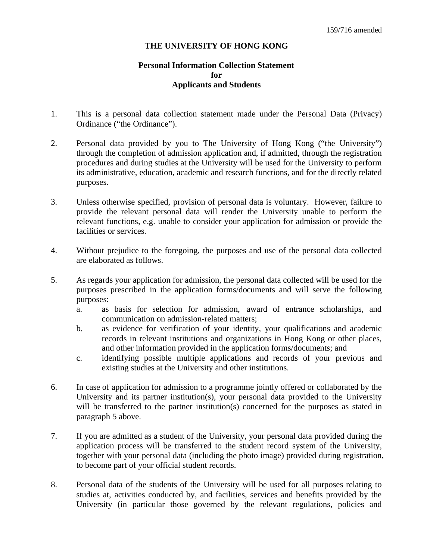### **THE UNIVERSITY OF HONG KONG**

# **Personal Information Collection Statement for Applicants and Students**

- 1. This is a personal data collection statement made under the Personal Data (Privacy) Ordinance ("the Ordinance").
- 2. Personal data provided by you to The University of Hong Kong ("the University") through the completion of admission application and, if admitted, through the registration procedures and during studies at the University will be used for the University to perform its administrative, education, academic and research functions, and for the directly related purposes.
- 3. Unless otherwise specified, provision of personal data is voluntary. However, failure to provide the relevant personal data will render the University unable to perform the relevant functions, e.g. unable to consider your application for admission or provide the facilities or services.
- 4. Without prejudice to the foregoing, the purposes and use of the personal data collected are elaborated as follows.
- 5. As regards your application for admission, the personal data collected will be used for the purposes prescribed in the application forms/documents and will serve the following purposes:
	- a. as basis for selection for admission, award of entrance scholarships, and communication on admission-related matters;
	- b. as evidence for verification of your identity, your qualifications and academic records in relevant institutions and organizations in Hong Kong or other places, and other information provided in the application forms/documents; and
	- c. identifying possible multiple applications and records of your previous and existing studies at the University and other institutions.
- 6. In case of application for admission to a programme jointly offered or collaborated by the University and its partner institution(s), your personal data provided to the University will be transferred to the partner institution(s) concerned for the purposes as stated in paragraph 5 above.
- 7. If you are admitted as a student of the University, your personal data provided during the application process will be transferred to the student record system of the University, together with your personal data (including the photo image) provided during registration, to become part of your official student records.
- 8. Personal data of the students of the University will be used for all purposes relating to studies at, activities conducted by, and facilities, services and benefits provided by the University (in particular those governed by the relevant regulations, policies and